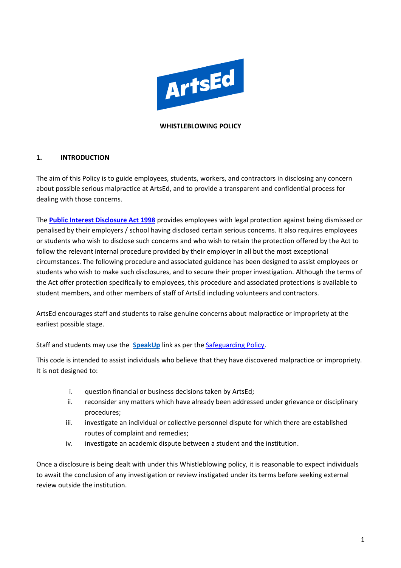

#### **WHISTLEBLOWING POLICY**

#### **1. INTRODUCTION**

The aim of this Policy is to guide employees, students, workers, and contractors in disclosing any concern about possible serious malpractice at ArtsEd, and to provide a transparent and confidential process for dealing with those concerns.

The **[Public Interest Disclosure Act 1998](https://www.gov.uk/government/publications/guidance-for-auditors-and-independent-examiners-of-charities/the-public-interest-disclosure-act--2)** provides employees with legal protection against being dismissed or penalised by their employers / school having disclosed certain serious concerns. It also requires employees or students who wish to disclose such concerns and who wish to retain the protection offered by the Act to follow the relevant internal procedure provided by their employer in all but the most exceptional circumstances. The following procedure and associated guidance has been designed to assist employees or students who wish to make such disclosures, and to secure their proper investigation. Although the terms of the Act offer protection specifically to employees, this procedure and associated protections is available to student members, and other members of staff of ArtsEd including volunteers and contractors.

ArtsEd encourages staff and students to raise genuine concerns about malpractice or impropriety at the earliest possible stage.

Staff and students may use the **[SpeakUp](https://artsed.qualtrics.com/jfe/form/SV_7OMFULwD1kl0dX8)** link as per th[e Safeguarding Policy.](https://artsed003.blob.core.windows.net/policy/safeguarding-policy.pdf)

This code is intended to assist individuals who believe that they have discovered malpractice or impropriety. It is not designed to:

- i. question financial or business decisions taken by ArtsEd;
- ii. reconsider any matters which have already been addressed under grievance or disciplinary procedures;
- iii. investigate an individual or collective personnel dispute for which there are established routes of complaint and remedies;
- iv. investigate an academic dispute between a student and the institution.

Once a disclosure is being dealt with under this Whistleblowing policy, it is reasonable to expect individuals to await the conclusion of any investigation or review instigated under its terms before seeking external review outside the institution.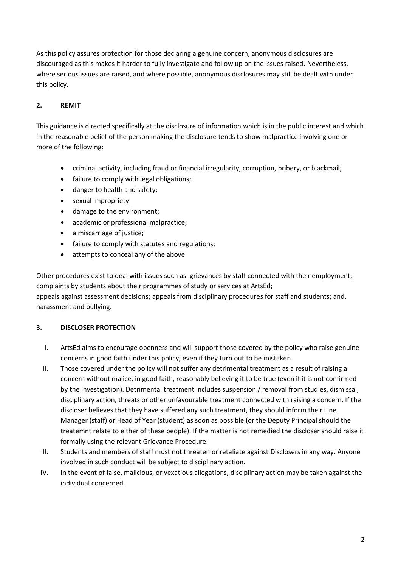As this policy assures protection for those declaring a genuine concern, anonymous disclosures are discouraged as this makes it harder to fully investigate and follow up on the issues raised. Nevertheless, where serious issues are raised, and where possible, anonymous disclosures may still be dealt with under this policy.

# **2. REMIT**

This guidance is directed specifically at the disclosure of information which is in the public interest and which in the reasonable belief of the person making the disclosure tends to show malpractice involving one or more of the following:

- criminal activity, including fraud or financial irregularity, corruption, bribery, or blackmail;
- failure to comply with legal obligations;
- danger to health and safety;
- sexual impropriety
- damage to the environment;
- academic or professional malpractice;
- a miscarriage of justice;
- failure to comply with statutes and regulations;
- attempts to conceal any of the above.

Other procedures exist to deal with issues such as: grievances by staff connected with their employment; complaints by students about their programmes of study or services at ArtsEd; appeals against assessment decisions; appeals from disciplinary procedures for staff and students; and, harassment and bullying.

## **3. DISCLOSER PROTECTION**

- I. ArtsEd aims to encourage openness and will support those covered by the policy who raise genuine concerns in good faith under this policy, even if they turn out to be mistaken.
- II. Those covered under the policy will not suffer any detrimental treatment as a result of raising a concern without malice, in good faith, reasonably believing it to be true (even if it is not confirmed by the investigation). Detrimental treatment includes suspension / removal from studies, dismissal, disciplinary action, threats or other unfavourable treatment connected with raising a concern. If the discloser believes that they have suffered any such treatment, they should inform their Line Manager (staff) or Head of Year (student) as soon as possible (or the Deputy Principal should the treatemnt relate to either of these people). If the matter is not remedied the discloser should raise it formally using the relevant Grievance Procedure.
- III. Students and members of staff must not threaten or retaliate against Disclosers in any way. Anyone involved in such conduct will be subject to disciplinary action.
- IV. In the event of false, malicious, or vexatious allegations, disciplinary action may be taken against the individual concerned.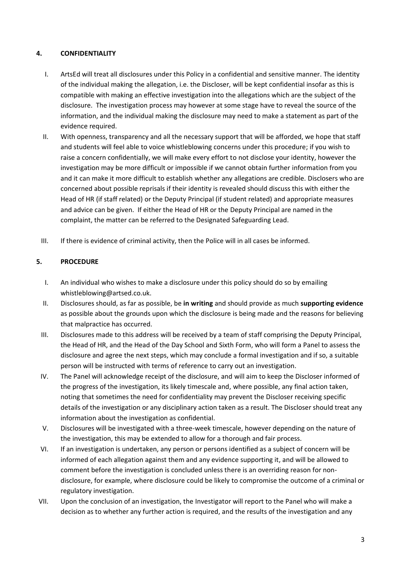### **4. CONFIDENTIALITY**

- I. ArtsEd will treat all disclosures under this Policy in a confidential and sensitive manner. The identity of the individual making the allegation, i.e. the Discloser, will be kept confidential insofar as this is compatible with making an effective investigation into the allegations which are the subject of the disclosure. The investigation process may however at some stage have to reveal the source of the information, and the individual making the disclosure may need to make a statement as part of the evidence required.
- II. With openness, transparency and all the necessary support that will be afforded, we hope that staff and students will feel able to voice whistleblowing concerns under this procedure; if you wish to raise a concern confidentially, we will make every effort to not disclose your identity, however the investigation may be more difficult or impossible if we cannot obtain further information from you and it can make it more difficult to establish whether any allegations are credible. Disclosers who are concerned about possible reprisals if their identity is revealed should discuss this with either the Head of HR (if staff related) or the Deputy Principal (if student related) and appropriate measures and advice can be given. If either the Head of HR or the Deputy Principal are named in the complaint, the matter can be referred to the Designated Safeguarding Lead.
- III. If there is evidence of criminal activity, then the Police will in all cases be informed.

### **5. PROCEDURE**

- I. An individual who wishes to make a disclosure under this policy should do so by emailing whistleblowing@artsed.co.uk.
- II. Disclosures should, as far as possible, be **in writing** and should provide as much **supporting evidence**  as possible about the grounds upon which the disclosure is being made and the reasons for believing that malpractice has occurred.
- III. Disclosures made to this address will be received by a team of staff comprising the Deputy Principal, the Head of HR, and the Head of the Day School and Sixth Form, who will form a Panel to assess the disclosure and agree the next steps, which may conclude a formal investigation and if so, a suitable person will be instructed with terms of reference to carry out an investigation.
- IV. The Panel will acknowledge receipt of the disclosure, and will aim to keep the Discloser informed of the progress of the investigation, its likely timescale and, where possible, any final action taken, noting that sometimes the need for confidentiality may prevent the Discloser receiving specific details of the investigation or any disciplinary action taken as a result. The Discloser should treat any information about the investigation as confidential.
- V. Disclosures will be investigated with a three-week timescale, however depending on the nature of the investigation, this may be extended to allow for a thorough and fair process.
- VI. If an investigation is undertaken, any person or persons identified as a subject of concern will be informed of each allegation against them and any evidence supporting it, and will be allowed to comment before the investigation is concluded unless there is an overriding reason for nondisclosure, for example, where disclosure could be likely to compromise the outcome of a criminal or regulatory investigation.
- VII. Upon the conclusion of an investigation, the Investigator will report to the Panel who will make a decision as to whether any further action is required, and the results of the investigation and any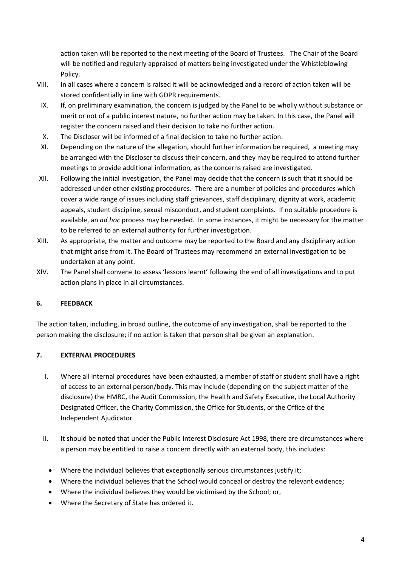action taken will be reported to the next meeting of the Board of Trustees. The Chair of the Board will be notified and regularly appraised of matters being investigated under the Whistleblowing Policy.

- VIII. In all cases where a concern is raised it will be acknowledged and a record of action taken will be stored confidentially in line with GDPR requirements.
- IX. If, on preliminary examination, the concern is judged by the Panel to be wholly without substance or merit or not of a public interest nature, no further action may be taken. In this case, the Panel will register the concern raised and their decision to take no further action.
- X. The Discloser will be informed of a final decision to take no further action.
- XI. Depending on the nature of the allegation, should further information be required, a meeting may be arranged with the Discloser to discuss their concern, and they may be required to attend further meetings to provide additional information, as the concerns raised are investigated.
- XII. Following the initial investigation, the Panel may decide that the concern is such that it should be addressed under other existing procedures. There are a number of policies and procedures which cover a wide range of issues including staff grievances, staff disciplinary, dignity at work, academic appeals, student discipline, sexual misconduct, and student complaints. If no suitable procedure is available, an *ad hoc* process may be needed. In some instances, it might be necessary for the matter to be referred to an external authority for further investigation.
- XIII. As appropriate, the matter and outcome may be reported to the Board and any disciplinary action that might arise from it. The Board of Trustees may recommend an external investigation to be undertaken at any point.
- XIV. The Panel shall convene to assess 'lessons learnt' following the end of all investigations and to put action plans in place in all circumstances.

### **6. FEEDBACK**

The action taken, including, in broad outline, the outcome of any investigation, shall be reported to the person making the disclosure; if no action is taken that person shall be given an explanation.

## **7. EXTERNAL PROCEDURES**

- I. Where all internal procedures have been exhausted, a member of staff or student shall have a right of access to an external person/body. This may include (depending on the subject matter of the disclosure) the HMRC, the Audit Commission, the Health and Safety Executive, the Local Authority Designated Officer, the Charity Commission, the Office for Students, or the Office of the Independent Ajudicator.
- II. It should be noted that under the Public Interest Disclosure Act 1998, there are circumstances where a person may be entitled to raise a concern directly with an external body, this includes:
	- Where the individual believes that exceptionally serious circumstances justify it;
	- Where the individual believes that the School would conceal or destroy the relevant evidence;
	- Where the individual believes they would be victimised by the School; or,
	- Where the Secretary of State has ordered it.